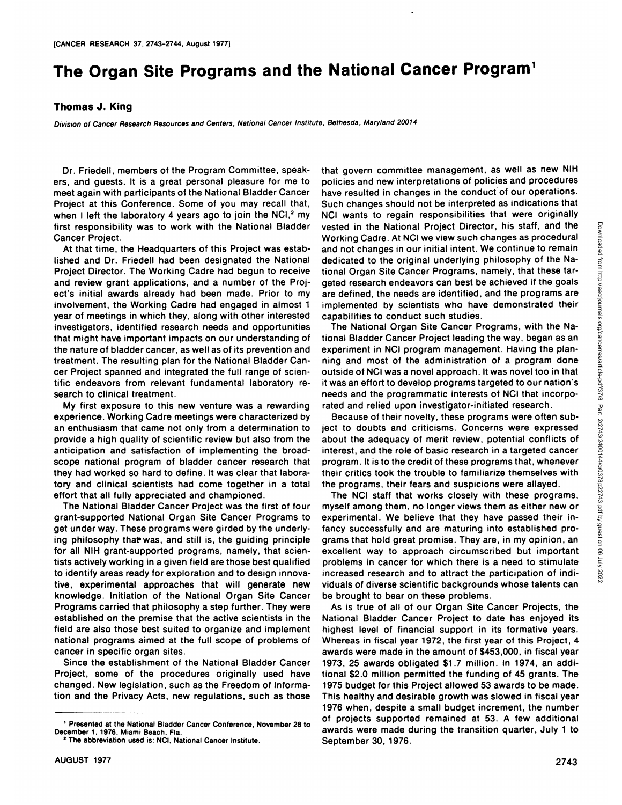## **The Organ Site Programs and the National Cancer Program1**

## **ThomasJ. King**

Division of Cancer Research Resources and Centers, National Cancer Institute, Bethesda, Maryland 20014

Dr. Friedell, members of the Program Committee, speak ers, and guests. It is a great personal pleasure for me to meet again with participants of the National Bladder Cancer Project at this Conference. Some of you may recall that, when I left the laboratory 4 years ago to join the  $NCl<sub>1</sub><sup>2</sup>$  my first responsibility was to work with the National Bladder Cancer Project.

At that time, the Headquarters of this Project was estab lished and Dr. Friedell had been designated the National Project Director. The Working Cadre had begun to receive and review grant applications, and a number of the Proj ect's initial awards already had been made. Prior to my involvement, the Working Cadre had engaged in almost 1 year of meetings in which they, along with other interested investigators, identified research needs and opportunities that might have important impacts on our understanding of the nature of bladder cancer, as well as of its prevention and treatment. The resulting plan for the National Bladder Can cer Project spanned and integrated the full range of scien tific endeavors from relevant fundamental laboratory re search to clinical treatment.

My first exposure to this new venture was a rewarding experience. Working Cadre meetings were characterized by an enthusiasm that came not only from a determination to provide a high quality of scientific review but also from the anticipation and satisfaction of implementing the broad scope national program of bladder cancer research that they had worked so hard to define. It was clear that labora tory and clinical scientists had come together in a total effort that all fully appreciated and championed.

The National Bladder Cancer Project was the first of four grant-supported National Organ Site Cancer Programs to get under way. These programs were girded by the underly ing philosophy that was, and still is, the guiding principle for all NIH grant-supported programs, namely, that scien tists actively working in a given field are those best qualified to identify areas ready for exploration and to design innova tive, experimental approaches that will generate new knowledge. Initiation of the National Organ Site Cancer Programs carried that philosophy a step further. They were established on the premise that the active scientists in the field are also those best suited to organize and implement national programs aimed at the full scope of problems of cancer in specific organ sites.

Since the establishment of the National Bladder Cancer Project, some of the procedures originally used have changed. New legislation, such as the Freedom of Informa tion and the Privacy Acts, new regulations, such as those

that govern committee management, as well as new NIH policies and new interpretations of policies and procedures have resulted in changes in the conduct of our operations. Such changes should not be interpreted as indications that NCI wants to regain responsibilities that were originally vested in the National Project Director, his staff, and the wave shown conduct and the view westo-hanges as procedural and the view and bedicated to the original underlying philosophy of the National Organ Site Cancer Prog Working Cadre. At NCI we view such changes as procedural and not changes in our initial intent. We continue to remain dedicated to the original underlying philosophy of the National Organ Site Cancer Programs, namely, that these tar geted research endeavors can best be achieved if the goals are defined, the needs are identified, and the programs are implemented by scientists who have demonstrated their capabilities to conduct such studies.

The National Organ Site Cancer Programs, with the Na tional Bladder Cancer Project leading the way, began as an experiment in NCI program management. Having the planning and most of the administration of a program done outside of NCI was a novelapproach. It was novel too in that it was an effort to develop programs targeted to our nation's needs and the programmatic interests of NCI that incorpo rated and relied upon investigator-initiated research.

Because of their novelty, these programs were often sub ject to doubts and criticisms. Concerns were expressed about the adequacy of merit review, potential conflicts of interest, and the role of basic research in a targeted cancer program. It is to the credit of these programs that, whenever their critics took the trouble to familiarize themselves with the programs, their fears and suspicions were allayed.

The NCI staff that works closely with these programs, myself among them, no longer views them as either new or experimental. We believe that they have passed their in fancy successfully and are maturing into established pro grams that hold great promise. They are, in my opinion, an excellent way to approach circumscribed but important problems in cancer for which there is a need to stimulate increased research and to attract the participation of individuals of diverse scientific backgrounds whose talents can be brought to bear on these problems.

As is true of all of our Organ Site Cancer Projects, the National Bladder Cancer Project to date has enjoyed its highest level of financial support in its formative years. Whereas in fiscal year 1972, the first year of this Project, 4 awards were made in the amount of \$453,000, in fiscalyear 1973, 25 awards obligated \$1.7 million. In 1974, an addi tional \$2.0 million permitted the funding of 45 grants. The 1975 budget for this Project allowed 53 awards to be made. This healthy and desirable growth was slowed in fiscalyear 1976 when, despite a small budget increment, the number of projects supported remained at 53. A few additional awards were made during the transition quarter, July 1 to September 30, 1976.

**<sup>,</sup> Presented at the National Bladder Cancer Conference, November 28 to** December 1, 1976, Miami Beach, Fla.

**<sup>2</sup> The abbreviation used is: NCI, National Cancer Institute.**